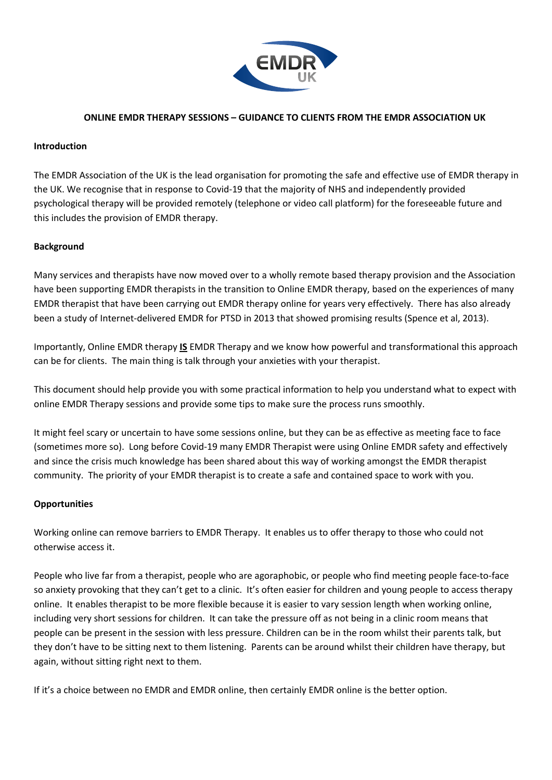

# **ONLINE EMDR THERAPY SESSIONS – GUIDANCE TO CLIENTS FROM THE EMDR ASSOCIATION UK**

#### **Introduction**

The EMDR Association of the UK is the lead organisation for promoting the safe and effective use of EMDR therapy in the UK. We recognise that in response to Covid-19 that the majority of NHS and independently provided psychological therapy will be provided remotely (telephone or video call platform) for the foreseeable future and this includes the provision of EMDR therapy.

# **Background**

Many services and therapists have now moved over to a wholly remote based therapy provision and the Association have been supporting EMDR therapists in the transition to Online EMDR therapy, based on the experiences of many EMDR therapist that have been carrying out EMDR therapy online for years very effectively. There has also already been a study of Internet-delivered EMDR for PTSD in 2013 that showed promising results (Spence et al, 2013).

Importantly, Online EMDR therapy **IS** EMDR Therapy and we know how powerful and transformational this approach can be for clients. The main thing is talk through your anxieties with your therapist.

This document should help provide you with some practical information to help you understand what to expect with online EMDR Therapy sessions and provide some tips to make sure the process runs smoothly.

It might feel scary or uncertain to have some sessions online, but they can be as effective as meeting face to face (sometimes more so). Long before Covid-19 many EMDR Therapist were using Online EMDR safety and effectively and since the crisis much knowledge has been shared about this way of working amongst the EMDR therapist community. The priority of your EMDR therapist is to create a safe and contained space to work with you.

# **Opportunities**

Working online can remove barriers to EMDR Therapy. It enables us to offer therapy to those who could not otherwise access it.

People who live far from a therapist, people who are agoraphobic, or people who find meeting people face-to-face so anxiety provoking that they can't get to a clinic. It's often easier for children and young people to access therapy online. It enables therapist to be more flexible because it is easier to vary session length when working online, including very short sessions for children. It can take the pressure off as not being in a clinic room means that people can be present in the session with less pressure. Children can be in the room whilst their parents talk, but they don't have to be sitting next to them listening. Parents can be around whilst their children have therapy, but again, without sitting right next to them.

If it's a choice between no EMDR and EMDR online, then certainly EMDR online is the better option.